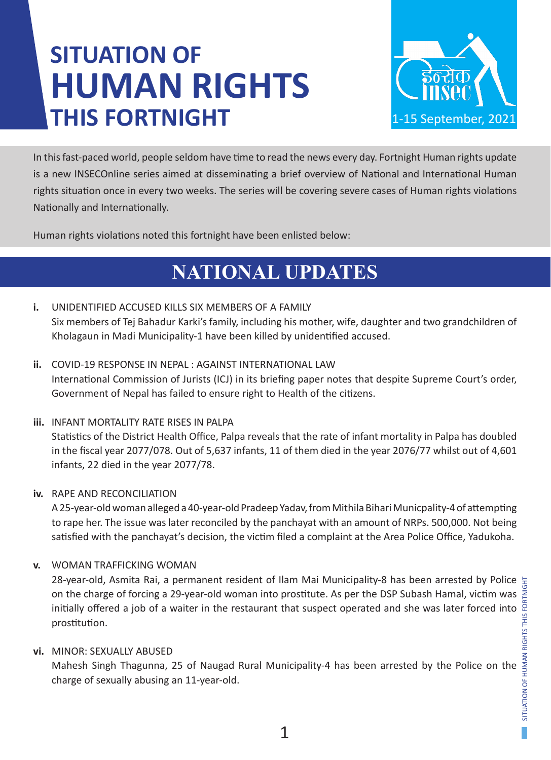# **SITUATION OF HUMAN RIGHTS THIS FORTNIGHT**



In this fast-paced world, people seldom have time to read the news every day. Fortnight Human rights update is a new INSECOnline series aimed at disseminating a brief overview of National and International Human rights situation once in every two weeks. The series will be covering severe cases of Human rights violations Nationally and Internationally.

Human rights violations noted this fortnight have been enlisted below:

# **NATIONAL UPDATES**

- **i.** UNIDENTIFIED ACCUSED KILLS SIX MEMBERS OF A FAMILY Six members of Tej Bahadur Karki's family, including his mother, wife, daughter and two grandchildren of Kholagaun in Madi Municipality-1 have been killed by unidentified accused.
- **ii.** COVID-19 RESPONSE IN NEPAL : AGAINST INTERNATIONAL LAW International Commission of Jurists (ICJ) in its briefing paper notes that despite Supreme Court's order, Government of Nepal has failed to ensure right to Health of the citizens.
- **iii.** INFANT MORTALITY RATE RISES IN PALPA Statistics of the District Health Office, Palpa reveals that the rate of infant mortality in Palpa has doubled in the fiscal year 2077/078. Out of 5,637 infants, 11 of them died in the year 2076/77 whilst out of 4,601 infants, 22 died in the year 2077/78.

### **iv.** RAPE AND RECONCILIATION

A 25-year-old woman alleged a 40-year-old Pradeep Yadav, from Mithila Bihari Municpality-4 of attempting to rape her. The issue was later reconciled by the panchayat with an amount of NRPs. 500,000. Not being satisfied with the panchayat's decision, the victim filed a complaint at the Area Police Office, Yadukoha.

**v.** WOMAN TRAFFICKING WOMAN

28-year-old, Asmita Rai, a permanent resident of Ilam Mai Municipality-8 has been arrested by Police on the charge of forcing a 29-year-old woman into prostitute. As per the DSP Subash Hamal, victim was initially offered a job of a waiter in the restaurant that suspect operated and she was later forced into prostitution.

### **vi.** MINOR: SEXUALLY ABUSED

Mahesh Singh Thagunna, 25 of Naugad Rural Municipality-4 has been arrested by the Police on the charge of sexually abusing an 11-year-old.